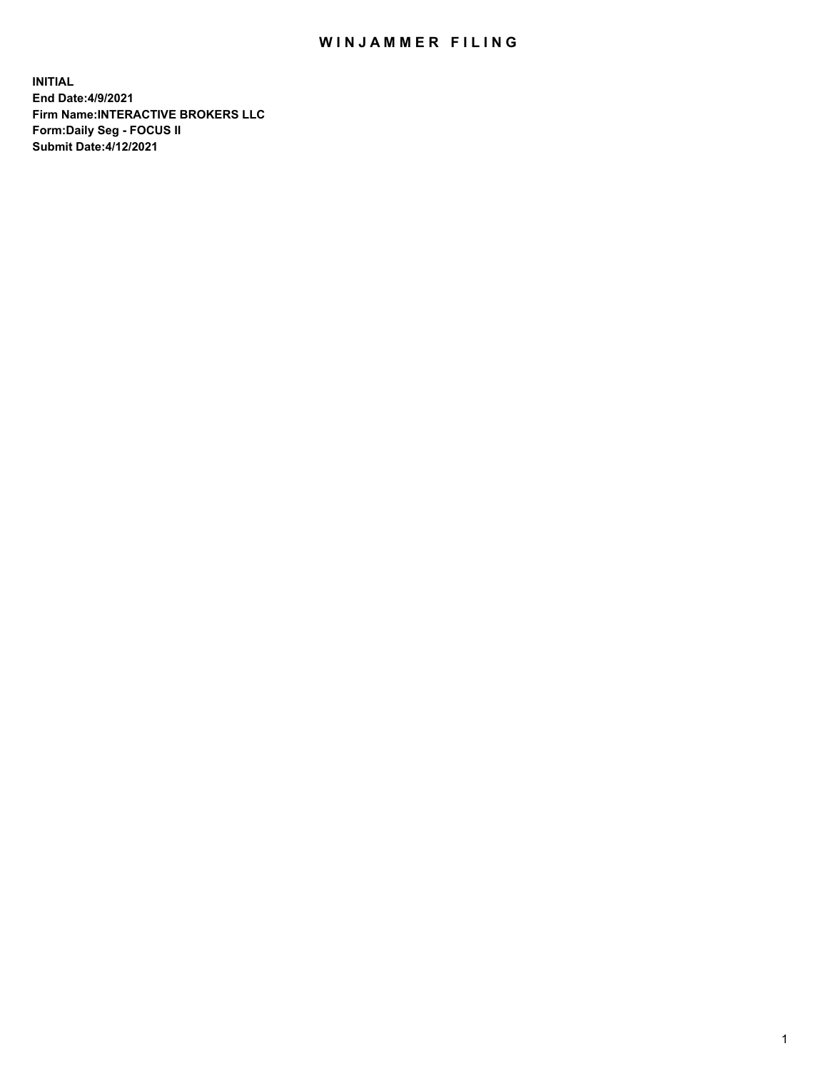## WIN JAMMER FILING

**INITIAL End Date:4/9/2021 Firm Name:INTERACTIVE BROKERS LLC Form:Daily Seg - FOCUS II Submit Date:4/12/2021**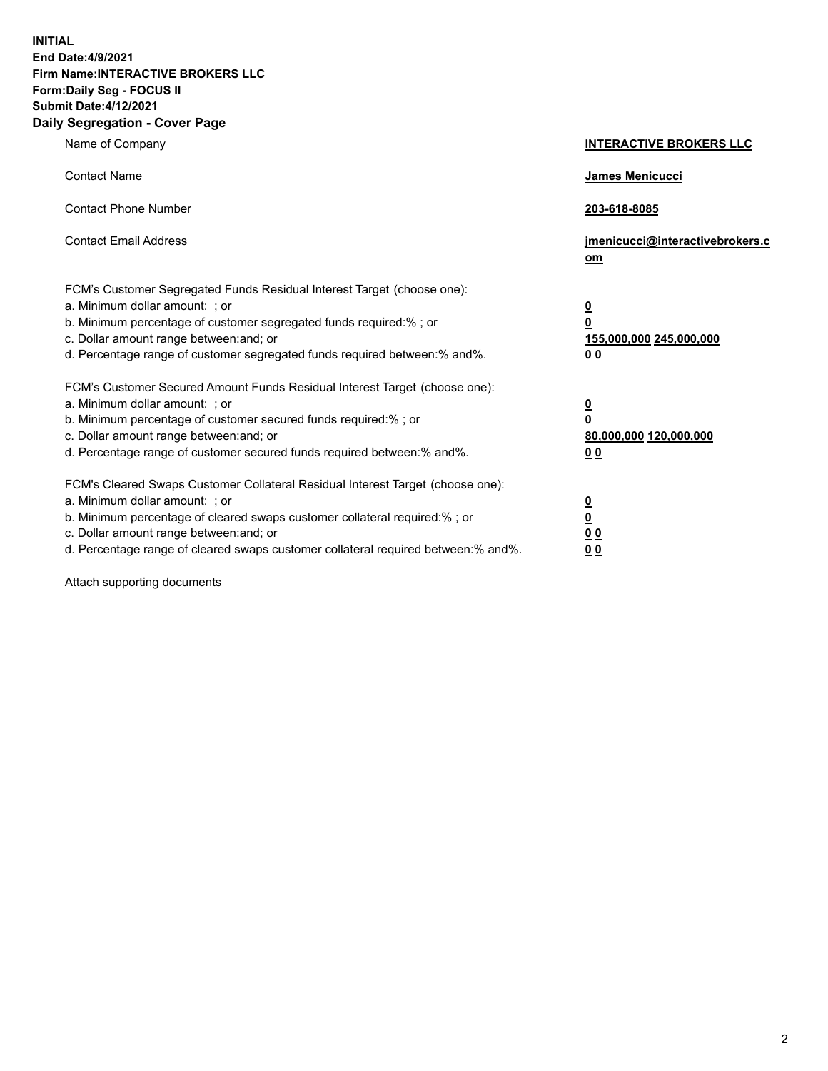**INITIAL End Date:4/9/2021 Firm Name:INTERACTIVE BROKERS LLC Form:Daily Seg - FOCUS II Submit Date:4/12/2021 Daily Segregation - Cover Page**

| Name of Company                                                                                                                                                                                                                                                                                                                | <b>INTERACTIVE BROKERS LLC</b>                                                                           |
|--------------------------------------------------------------------------------------------------------------------------------------------------------------------------------------------------------------------------------------------------------------------------------------------------------------------------------|----------------------------------------------------------------------------------------------------------|
| <b>Contact Name</b>                                                                                                                                                                                                                                                                                                            | James Menicucci                                                                                          |
| <b>Contact Phone Number</b>                                                                                                                                                                                                                                                                                                    | 203-618-8085                                                                                             |
| <b>Contact Email Address</b>                                                                                                                                                                                                                                                                                                   | jmenicucci@interactivebrokers.c<br>om                                                                    |
| FCM's Customer Segregated Funds Residual Interest Target (choose one):<br>a. Minimum dollar amount: ; or<br>b. Minimum percentage of customer segregated funds required:%; or<br>c. Dollar amount range between: and; or<br>d. Percentage range of customer segregated funds required between:% and%.                          | <u>0</u><br>$\overline{\mathbf{0}}$<br>155,000,000 245,000,000<br>0 <sub>0</sub>                         |
| FCM's Customer Secured Amount Funds Residual Interest Target (choose one):<br>a. Minimum dollar amount: ; or<br>b. Minimum percentage of customer secured funds required:%; or<br>c. Dollar amount range between: and; or<br>d. Percentage range of customer secured funds required between:% and%.                            | <u>0</u><br>$\overline{\mathbf{0}}$<br>80,000,000 120,000,000<br><u>00</u>                               |
| FCM's Cleared Swaps Customer Collateral Residual Interest Target (choose one):<br>a. Minimum dollar amount: ; or<br>b. Minimum percentage of cleared swaps customer collateral required:% ; or<br>c. Dollar amount range between: and; or<br>d. Percentage range of cleared swaps customer collateral required between:% and%. | $\overline{\mathbf{0}}$<br>$\underline{\mathbf{0}}$<br>$\underline{0}$ $\underline{0}$<br>0 <sub>0</sub> |

Attach supporting documents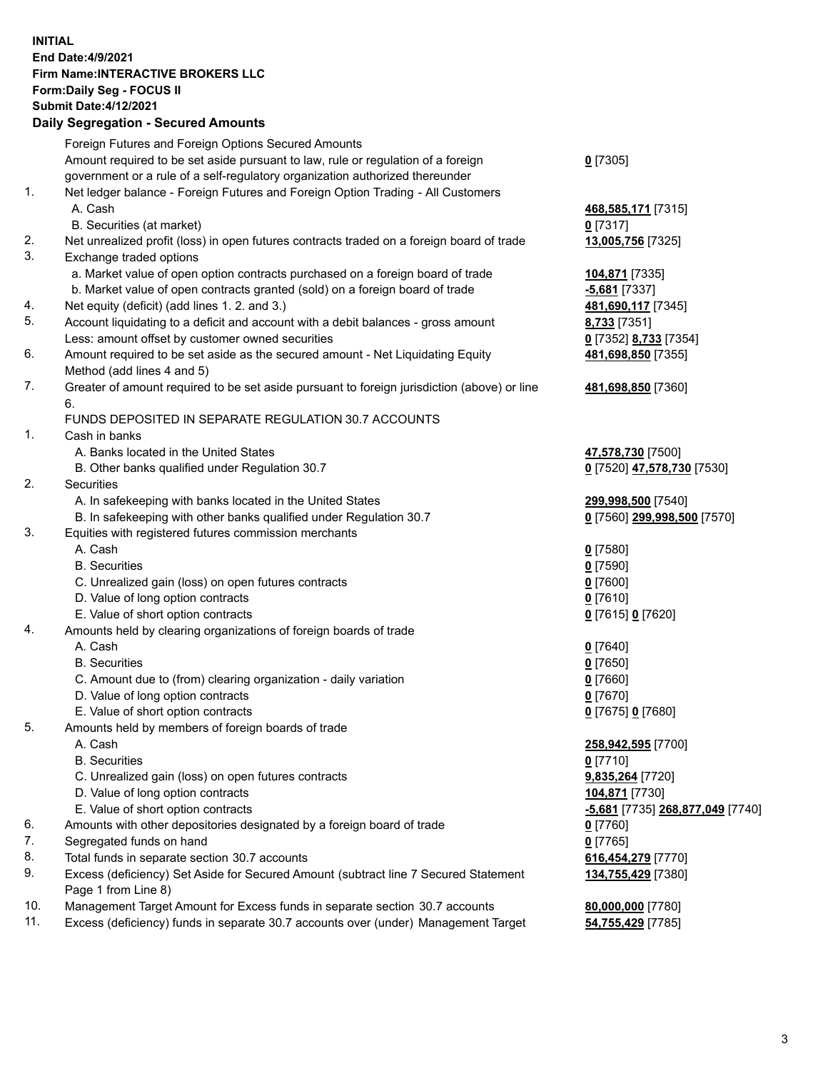## **INITIAL End Date:4/9/2021 Firm Name:INTERACTIVE BROKERS LLC Form:Daily Seg - FOCUS II Submit Date:4/12/2021**

|     | <b>Daily Segregation - Secured Amounts</b>                                                  |                                  |
|-----|---------------------------------------------------------------------------------------------|----------------------------------|
|     | Foreign Futures and Foreign Options Secured Amounts                                         |                                  |
|     | Amount required to be set aside pursuant to law, rule or regulation of a foreign            | $0$ [7305]                       |
|     | government or a rule of a self-regulatory organization authorized thereunder                |                                  |
| 1.  | Net ledger balance - Foreign Futures and Foreign Option Trading - All Customers             |                                  |
|     | A. Cash                                                                                     | 468,585,171 [7315]               |
|     | B. Securities (at market)                                                                   | $0$ [7317]                       |
| 2.  | Net unrealized profit (loss) in open futures contracts traded on a foreign board of trade   | 13,005,756 [7325]                |
| 3.  | Exchange traded options                                                                     |                                  |
|     | a. Market value of open option contracts purchased on a foreign board of trade              | 104,871 [7335]                   |
|     | b. Market value of open contracts granted (sold) on a foreign board of trade                | <b>-5,681</b> [7337]             |
| 4.  | Net equity (deficit) (add lines 1. 2. and 3.)                                               | 481,690,117 [7345]               |
| 5.  | Account liquidating to a deficit and account with a debit balances - gross amount           | 8,733 [7351]                     |
|     | Less: amount offset by customer owned securities                                            | 0 [7352] 8,733 [7354]            |
| 6.  | Amount required to be set aside as the secured amount - Net Liquidating Equity              | 481,698,850 [7355]               |
|     | Method (add lines 4 and 5)                                                                  |                                  |
| 7.  | Greater of amount required to be set aside pursuant to foreign jurisdiction (above) or line | 481,698,850 [7360]               |
|     | 6.                                                                                          |                                  |
|     | FUNDS DEPOSITED IN SEPARATE REGULATION 30.7 ACCOUNTS                                        |                                  |
| 1.  | Cash in banks                                                                               |                                  |
|     | A. Banks located in the United States                                                       | 47,578,730 [7500]                |
|     | B. Other banks qualified under Regulation 30.7                                              | 0 [7520] 47,578,730 [7530]       |
| 2.  | Securities                                                                                  |                                  |
|     | A. In safekeeping with banks located in the United States                                   | 299,998,500 [7540]               |
|     | B. In safekeeping with other banks qualified under Regulation 30.7                          | 0 [7560] 299,998,500 [7570]      |
| 3.  | Equities with registered futures commission merchants                                       |                                  |
|     | A. Cash                                                                                     | $0$ [7580]                       |
|     | <b>B.</b> Securities                                                                        | $0$ [7590]                       |
|     | C. Unrealized gain (loss) on open futures contracts                                         | $0$ [7600]                       |
|     | D. Value of long option contracts                                                           | $0$ [7610]                       |
|     | E. Value of short option contracts                                                          | 0 [7615] 0 [7620]                |
| 4.  | Amounts held by clearing organizations of foreign boards of trade                           |                                  |
|     | A. Cash                                                                                     | $0$ [7640]                       |
|     | <b>B.</b> Securities                                                                        | $0$ [7650]                       |
|     | C. Amount due to (from) clearing organization - daily variation                             | $0$ [7660]                       |
|     | D. Value of long option contracts                                                           | $0$ [7670]                       |
|     | E. Value of short option contracts                                                          | 0 [7675] 0 [7680]                |
| 5.  | Amounts held by members of foreign boards of trade                                          |                                  |
|     | A. Cash                                                                                     | 258,942,595 [7700]               |
|     | <b>B.</b> Securities                                                                        | $0$ [7710]                       |
|     | C. Unrealized gain (loss) on open futures contracts                                         | 9,835,264 [7720]                 |
|     | D. Value of long option contracts                                                           | 104,871 [7730]                   |
|     | E. Value of short option contracts                                                          | -5,681 [7735] 268,877,049 [7740] |
| 6.  | Amounts with other depositories designated by a foreign board of trade                      | $0$ [7760]                       |
| 7.  | Segregated funds on hand                                                                    | $0$ [7765]                       |
| 8.  | Total funds in separate section 30.7 accounts                                               | 616,454,279 [7770]               |
| 9.  | Excess (deficiency) Set Aside for Secured Amount (subtract line 7 Secured Statement         | 134,755,429 [7380]               |
|     | Page 1 from Line 8)                                                                         |                                  |
| 10. | Management Target Amount for Excess funds in separate section 30.7 accounts                 | 80,000,000 [7780]                |
| 11. | Excess (deficiency) funds in separate 30.7 accounts over (under) Management Target          | 54,755,429 [7785]                |
|     |                                                                                             |                                  |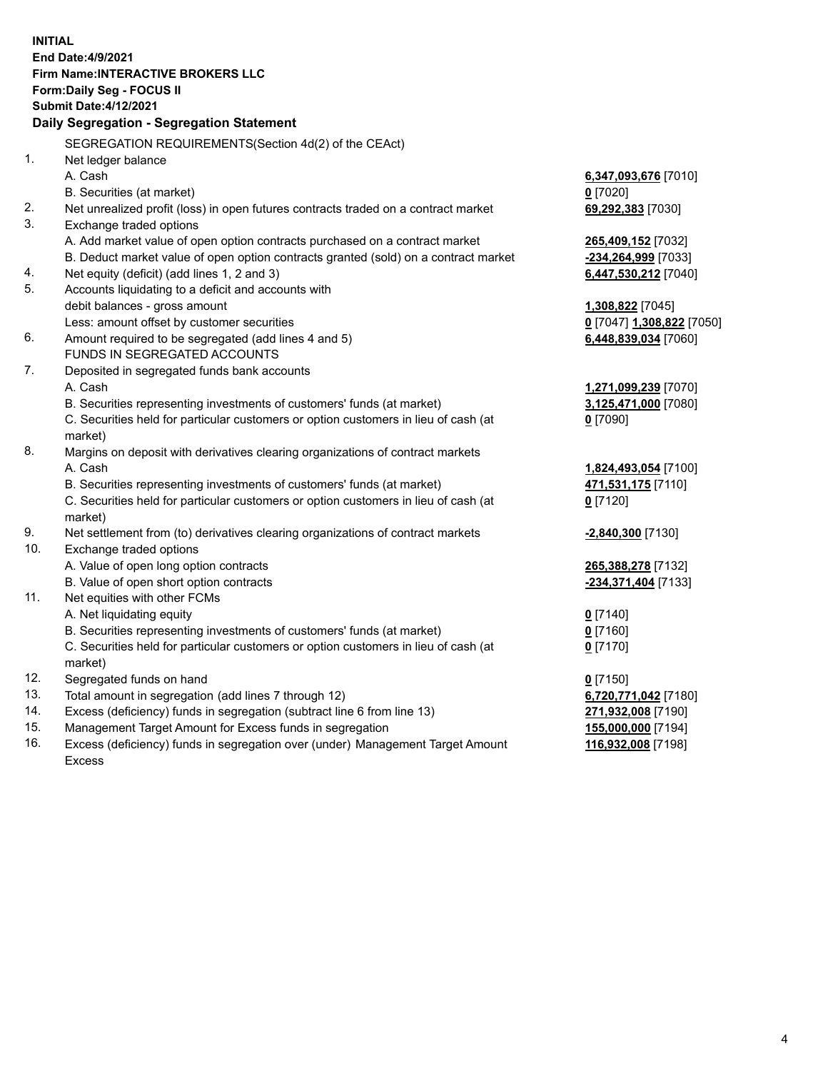**INITIAL End Date:4/9/2021 Firm Name:INTERACTIVE BROKERS LLC Form:Daily Seg - FOCUS II Submit Date:4/12/2021 Daily Segregation - Segregation Statement** SEGREGATION REQUIREMENTS(Section 4d(2) of the CEAct) 1. Net ledger balance A. Cash **6,347,093,676** [7010] B. Securities (at market) **0** [7020] 2. Net unrealized profit (loss) in open futures contracts traded on a contract market **69,292,383** [7030] 3. Exchange traded options A. Add market value of open option contracts purchased on a contract market **265,409,152** [7032] B. Deduct market value of open option contracts granted (sold) on a contract market **-234,264,999** [7033] 4. Net equity (deficit) (add lines 1, 2 and 3) **6,447,530,212** [7040] 5. Accounts liquidating to a deficit and accounts with debit balances - gross amount **1,308,822** [7045] Less: amount offset by customer securities **0** [7047] **1,308,822** [7050] 6. Amount required to be segregated (add lines 4 and 5) **6,448,839,034** [7060] FUNDS IN SEGREGATED ACCOUNTS 7. Deposited in segregated funds bank accounts A. Cash **1,271,099,239** [7070] B. Securities representing investments of customers' funds (at market) **3,125,471,000** [7080] C. Securities held for particular customers or option customers in lieu of cash (at market) **0** [7090] 8. Margins on deposit with derivatives clearing organizations of contract markets A. Cash **1,824,493,054** [7100] B. Securities representing investments of customers' funds (at market) **471,531,175** [7110] C. Securities held for particular customers or option customers in lieu of cash (at market) **0** [7120] 9. Net settlement from (to) derivatives clearing organizations of contract markets **-2,840,300** [7130] 10. Exchange traded options A. Value of open long option contracts **265,388,278** [7132] B. Value of open short option contracts **-234,371,404** [7133] 11. Net equities with other FCMs A. Net liquidating equity **0** [7140] B. Securities representing investments of customers' funds (at market) **0** [7160] C. Securities held for particular customers or option customers in lieu of cash (at market) **0** [7170] 12. Segregated funds on hand **0** [7150] 13. Total amount in segregation (add lines 7 through 12) **6,720,771,042** [7180] 14. Excess (deficiency) funds in segregation (subtract line 6 from line 13) **271,932,008** [7190] 15. Management Target Amount for Excess funds in segregation **155,000,000** [7194] 16. Excess (deficiency) funds in segregation over (under) Management Target Amount Excess **116,932,008** [7198]